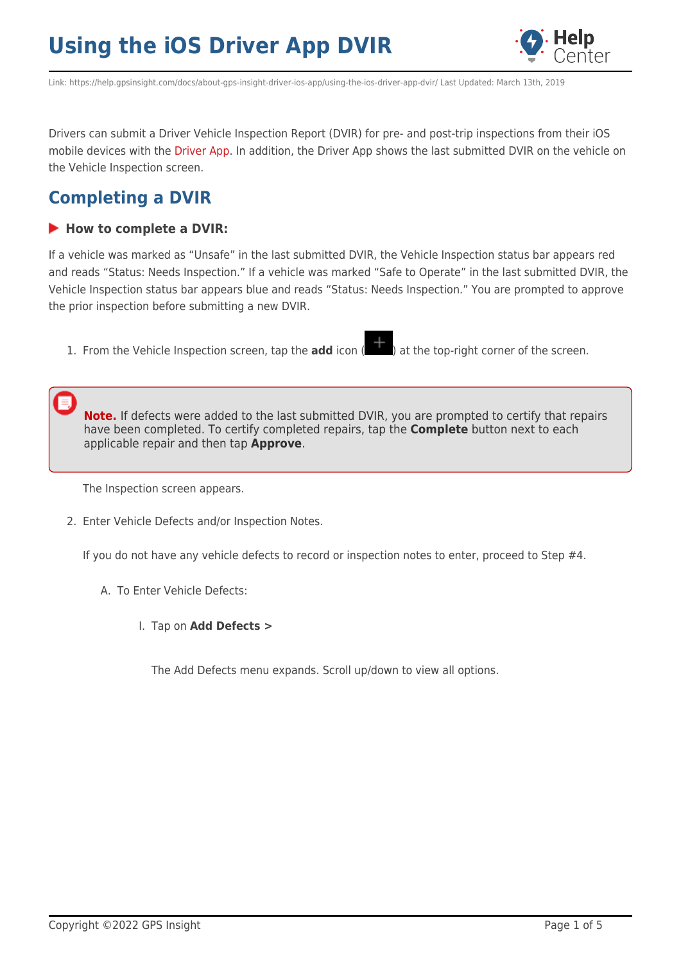

Link: https://help.gpsinsight.com/docs/about-gps-insight-driver-ios-app/using-the-ios-driver-app-dvir/ Last Updated: March 13th, 2019

Drivers can submit a Driver Vehicle Inspection Report (DVIR) for pre- and post-trip inspections from their iOS mobile devices with the [Driver App.](https://help.gpsinsight.com/docs/about-gps-insight-driver-ios-app/) In addition, the Driver App shows the last submitted DVIR on the vehicle on the Vehicle Inspection screen.

### **Completing a DVIR**

#### **How to complete a DVIR:**

If a vehicle was marked as "Unsafe" in the last submitted DVIR, the Vehicle Inspection status bar appears red and reads "Status: Needs Inspection." If a vehicle was marked "Safe to Operate" in the last submitted DVIR, the Vehicle Inspection status bar appears blue and reads "Status: Needs Inspection." You are prompted to approve the prior inspection before submitting a new DVIR.

1. From the Vehicle Inspection screen, tap the **add** icon (**1)** at the top-right corner of the screen.

**Note.** If defects were added to the last submitted DVIR, you are prompted to certify that repairs have been completed. To certify completed repairs, tap the **Complete** button next to each applicable repair and then tap **Approve**.

The Inspection screen appears.

2. Enter Vehicle Defects and/or Inspection Notes.

If you do not have any vehicle defects to record or inspection notes to enter, proceed to Step #4.

- A. To Enter Vehicle Defects:
	- I. Tap on **Add Defects >**

The Add Defects menu expands. Scroll up/down to view all options.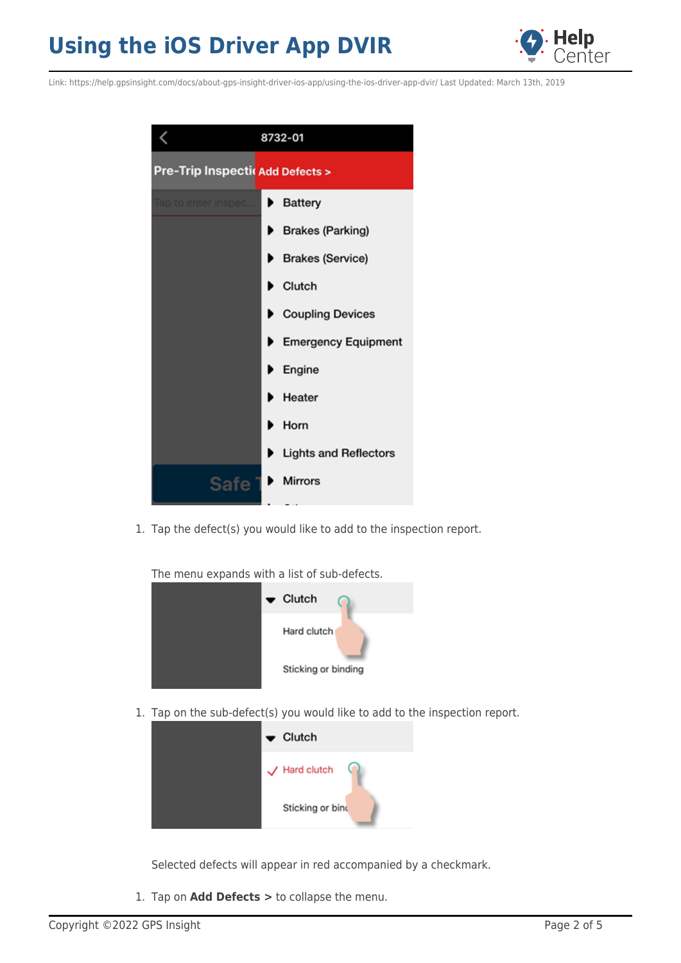

Link: https://help.gpsinsight.com/docs/about-gps-insight-driver-ios-app/using-the-ios-driver-app-dvir/ Last Updated: March 13th, 2019



1. Tap the defect(s) you would like to add to the inspection report.

The menu expands with a list of sub-defects.



1. Tap on the sub-defect(s) you would like to add to the inspection report.



Selected defects will appear in red accompanied by a checkmark.

1. Tap on **Add Defects >** to collapse the menu.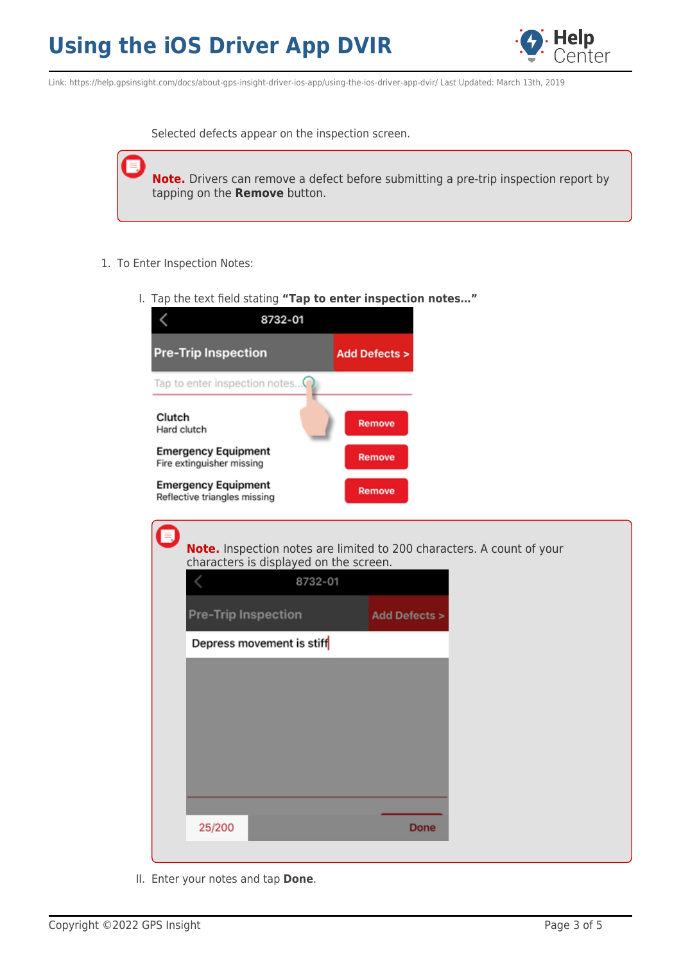

Link: https://help.gpsinsight.com/docs/about-gps-insight-driver-ios-app/using-the-ios-driver-app-dvir/ Last Updated: March 13th, 2019

Selected defects appear on the inspection screen.

**Note.** Drivers can remove a defect before submitting a pre-trip inspection report by tapping on the **Remove** button.

- 1. To Enter Inspection Notes:
	- I. Tap the text field stating **"Tap to enter inspection notes…"**



II. Enter your notes and tap **Done**.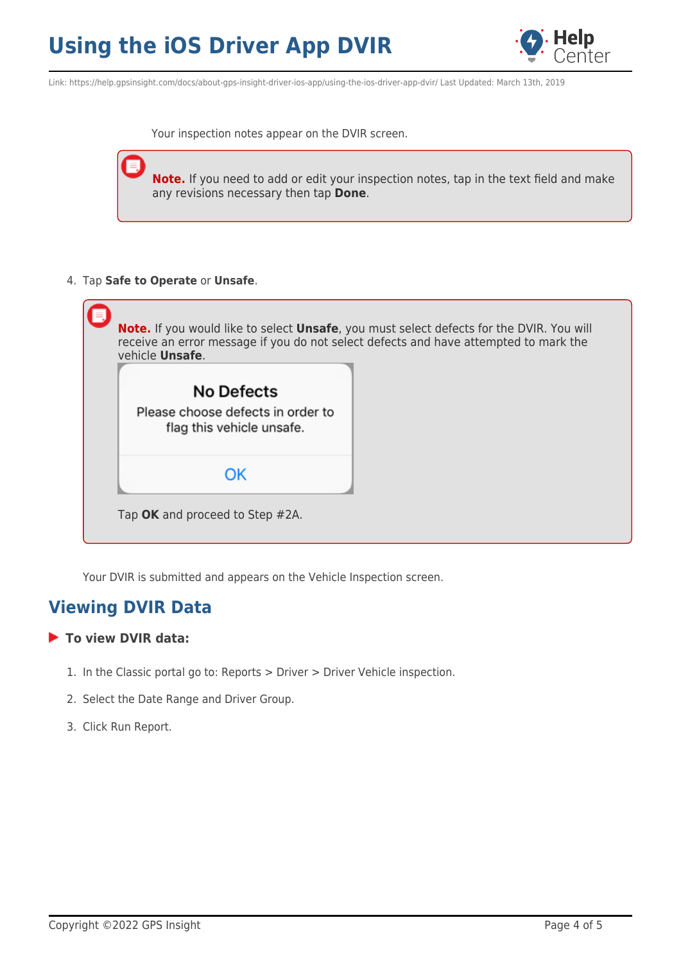

Link: https://help.gpsinsight.com/docs/about-gps-insight-driver-ios-app/using-the-ios-driver-app-dvir/ Last Updated: March 13th, 2019

Your inspection notes appear on the DVIR screen.

**Note.** If you need to add or edit your inspection notes, tap in the text field and make any revisions necessary then tap **Done**.

4. Tap **Safe to Operate** or **Unsafe**.



Your DVIR is submitted and appears on the Vehicle Inspection screen.

#### **Viewing DVIR Data**

#### **To view DVIR data:**

- 1. In the Classic portal go to: Reports > Driver > Driver Vehicle inspection.
- 2. Select the Date Range and Driver Group.
- 3. Click Run Report.